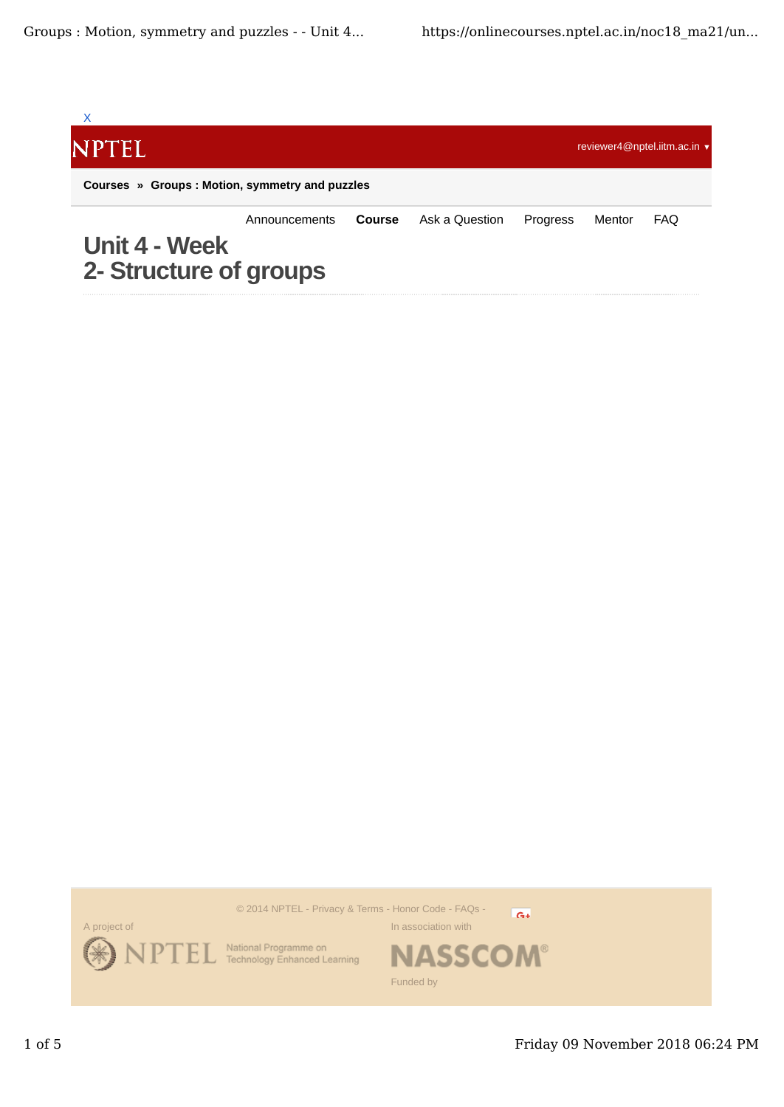

© 2014 NPTEL - Privacy & Terms - Honor Code - FAQs -



National Programme on<br>Technology Enhanced Learning

 $G+$ 

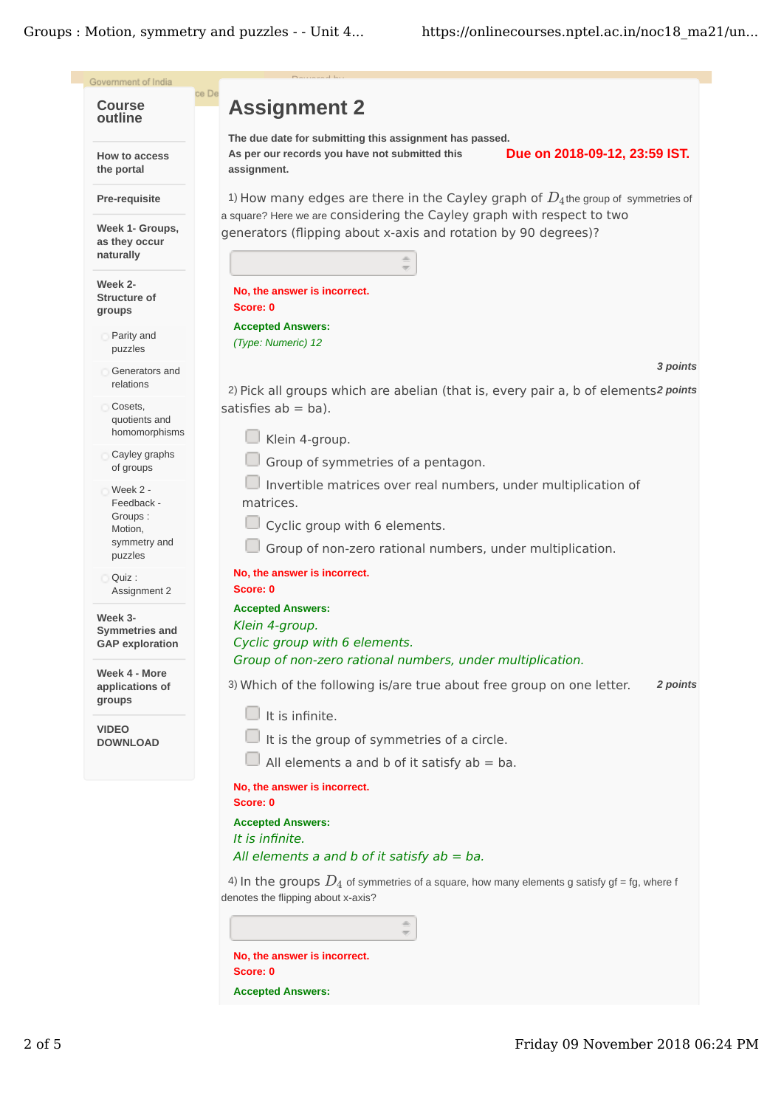Groups: Motion, symmetry and puzzles - - Unit 4...

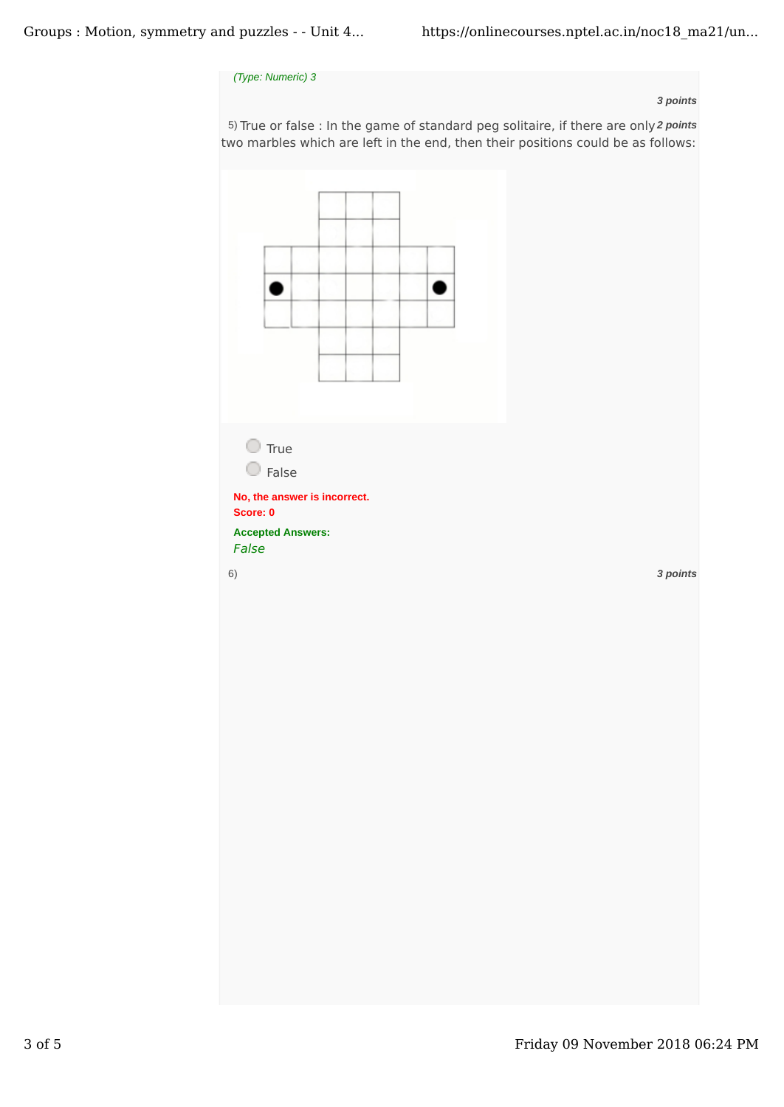## *(Type: Numeric) 3*

## *3 points*

5) True or false : In the game of standard peg solitaire, if there are only 2 points two marbles which are left in the end, then their positions could be as follows: